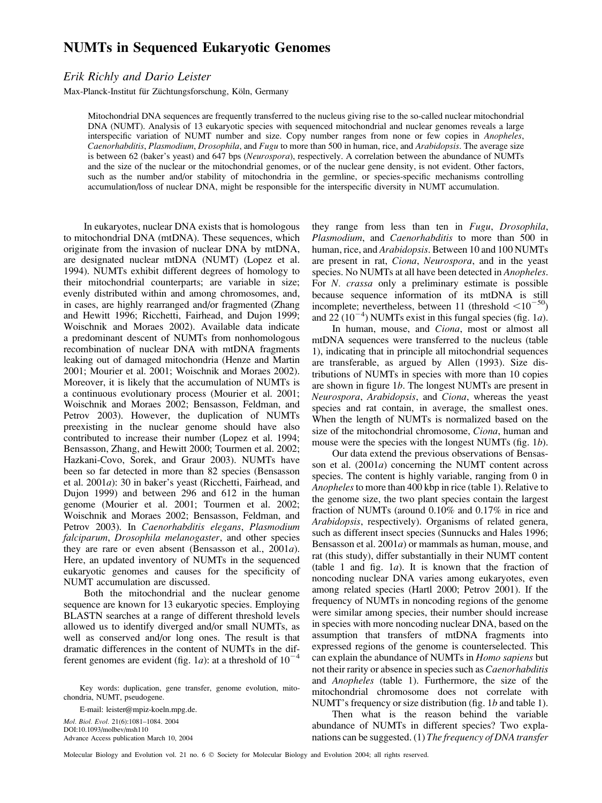# NUMTs in Sequenced Eukaryotic Genomes

## Erik Richly and Dario Leister

Max-Planck-Institut für Züchtungsforschung, Köln, Germany

Mitochondrial DNA sequences are frequently transferred to the nucleus giving rise to the so-called nuclear mitochondrial DNA (NUMT). Analysis of 13 eukaryotic species with sequenced mitochondrial and nuclear genomes reveals a large interspecific variation of NUMT number and size. Copy number ranges from none or few copies in *Anopheles*, Caenorhabditis, Plasmodium, Drosophila, and Fugu to more than 500 in human, rice, and Arabidopsis. The average size is between 62 (baker's yeast) and 647 bps (Neurospora), respectively. A correlation between the abundance of NUMTs and the size of the nuclear or the mitochondrial genomes, or of the nuclear gene density, is not evident. Other factors, such as the number and/or stability of mitochondria in the germline, or species-specific mechanisms controlling accumulation/loss of nuclear DNA, might be responsible for the interspecific diversity in NUMT accumulation.

In eukaryotes, nuclear DNA exists that is homologous to mitochondrial DNA (mtDNA). These sequences, which originate from the invasion of nuclear DNA by mtDNA, are designated nuclear mtDNA (NUMT) (Lopez et al. 1994). NUMTs exhibit different degrees of homology to their mitochondrial counterparts; are variable in size; evenly distributed within and among chromosomes, and, in cases, are highly rearranged and/or fragmented (Zhang and Hewitt 1996; Ricchetti, Fairhead, and Dujon 1999; Woischnik and Moraes 2002). Available data indicate a predominant descent of NUMTs from nonhomologous recombination of nuclear DNA with mtDNA fragments leaking out of damaged mitochondria (Henze and Martin 2001; Mourier et al. 2001; Woischnik and Moraes 2002). Moreover, it is likely that the accumulation of NUMTs is a continuous evolutionary process (Mourier et al. 2001; Woischnik and Moraes 2002; Bensasson, Feldman, and Petrov 2003). However, the duplication of NUMTs preexisting in the nuclear genome should have also contributed to increase their number (Lopez et al. 1994; Bensasson, Zhang, and Hewitt 2000; Tourmen et al. 2002; Hazkani-Covo, Sorek, and Graur 2003). NUMTs have been so far detected in more than 82 species (Bensasson et al. 2001a): 30 in baker's yeast (Ricchetti, Fairhead, and Dujon 1999) and between 296 and 612 in the human genome (Mourier et al. 2001; Tourmen et al. 2002; Woischnik and Moraes 2002; Bensasson, Feldman, and Petrov 2003). In Caenorhabditis elegans, Plasmodium falciparum, Drosophila melanogaster, and other species they are rare or even absent (Bensasson et al., 2001a). Here, an updated inventory of NUMTs in the sequenced eukaryotic genomes and causes for the specificity of NUMT accumulation are discussed.

Both the mitochondrial and the nuclear genome sequence are known for 13 eukaryotic species. Employing BLASTN searches at a range of different threshold levels allowed us to identify diverged and/or small NUMTs, as well as conserved and/or long ones. The result is that dramatic differences in the content of NUMTs in the different genomes are evident (fig. 1*a*): at a threshold of  $10^{-4}$ 

Key words: duplication, gene transfer, genome evolution, mitochondria, NUMT, pseudogene.

E-mail: leister@mpiz-koeln.mpg.de. Mol. Biol. Evol. 21(6):1081–1084. 2004 DOI:10.1093/molbev/msh110 Advance Access publication March 10, 2004

they range from less than ten in Fugu, Drosophila, Plasmodium, and Caenorhabditis to more than 500 in human, rice, and Arabidopsis. Between 10 and 100 NUMTs are present in rat, Ciona, Neurospora, and in the yeast species. No NUMTs at all have been detected in Anopheles. For N. crassa only a preliminary estimate is possible because sequence information of its mtDNA is still incomplete; nevertheless, between 11 (threshold  $\leq 10^{-50}$ ) and  $22(10^{-4})$  NUMTs exist in this fungal species (fig. 1*a*).

In human, mouse, and *Ciona*, most or almost all mtDNA sequences were transferred to the nucleus (table 1), indicating that in principle all mitochondrial sequences are transferable, as argued by Allen (1993). Size distributions of NUMTs in species with more than 10 copies are shown in figure 1b. The longest NUMTs are present in Neurospora, Arabidopsis, and Ciona, whereas the yeast species and rat contain, in average, the smallest ones. When the length of NUMTs is normalized based on the size of the mitochondrial chromosome, Ciona, human and mouse were the species with the longest NUMTs (fig. 1*b*).

Our data extend the previous observations of Bensasson et al. (2001a) concerning the NUMT content across species. The content is highly variable, ranging from 0 in Anopheles to more than 400 kbp in rice (table 1). Relative to the genome size, the two plant species contain the largest fraction of NUMTs (around 0.10% and 0.17% in rice and Arabidopsis, respectively). Organisms of related genera, such as different insect species (Sunnucks and Hales 1996; Bensasson et al.  $2001a$ ) or mammals as human, mouse, and rat (this study), differ substantially in their NUMT content (table 1 and fig. 1a). It is known that the fraction of noncoding nuclear DNA varies among eukaryotes, even among related species (Hartl 2000; Petrov 2001). If the frequency of NUMTs in noncoding regions of the genome were similar among species, their number should increase in species with more noncoding nuclear DNA, based on the assumption that transfers of mtDNA fragments into expressed regions of the genome is counterselected. This can explain the abundance of NUMTs in Homo sapiens but not their rarity or absence in species such as Caenorhabditis and Anopheles (table 1). Furthermore, the size of the mitochondrial chromosome does not correlate with NUMT's frequency or size distribution (fig. 1b and table 1).

Then what is the reason behind the variable abundance of NUMTs in different species? Two explanations can be suggested. (1) The frequency of DNA transfer

Molecular Biology and Evolution vol. 21 no. 6  $\circ$  Society for Molecular Biology and Evolution 2004; all rights reserved.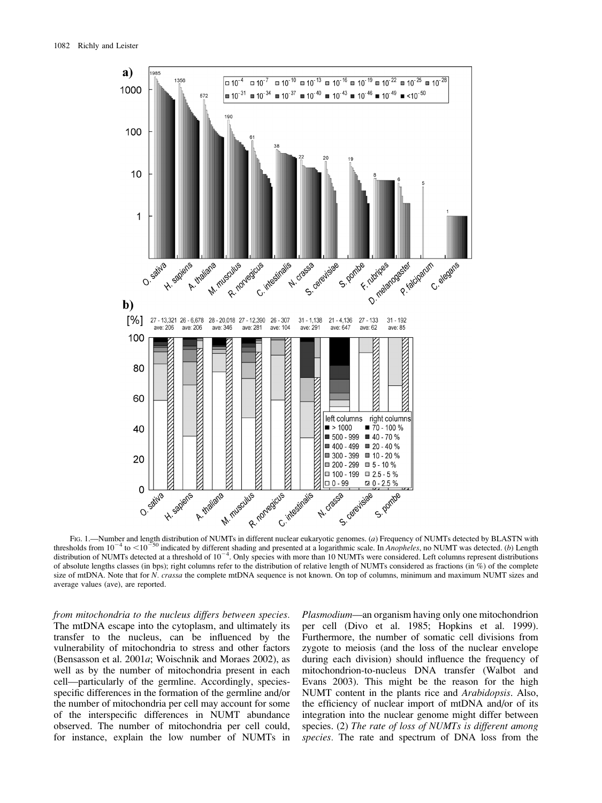

thresholds from  $10^{-4}$  to  $\lt 10^{-50}$  indicated by different shading and presented at a logarithmic scale. In *Anopheles*, no NUMT was detected. (b) Length distribution of NUMTs detected at a threshold of  $10^{-4}$ . Only species with more than 10 NUMTs were considered. Left columns represent distributions of absolute lengths classes (in bps); right columns refer to the distribution of relative length of NUMTs considered as fractions (in %) of the complete size of mtDNA. Note that for N. crassa the complete mtDNA sequence is not known. On top of columns, minimum and maximum NUMT sizes and average values (ave), are reported.

from mitochondria to the nucleus differs between species. The mtDNA escape into the cytoplasm, and ultimately its transfer to the nucleus, can be influenced by the vulnerability of mitochondria to stress and other factors (Bensasson et al. 2001a; Woischnik and Moraes 2002), as well as by the number of mitochondria present in each cell—particularly of the germline. Accordingly, speciesspecific differences in the formation of the germline and/or the number of mitochondria per cell may account for some of the interspecific differences in NUMT abundance observed. The number of mitochondria per cell could, for instance, explain the low number of NUMTs in Plasmodium—an organism having only one mitochondrion per cell (Divo et al. 1985; Hopkins et al. 1999). Furthermore, the number of somatic cell divisions from zygote to meiosis (and the loss of the nuclear envelope during each division) should influence the frequency of mitochondrion-to-nucleus DNA transfer (Walbot and Evans 2003). This might be the reason for the high NUMT content in the plants rice and Arabidopsis. Also, the efficiency of nuclear import of mtDNA and/or of its integration into the nuclear genome might differ between species. (2) The rate of loss of NUMTs is different among species. The rate and spectrum of DNA loss from the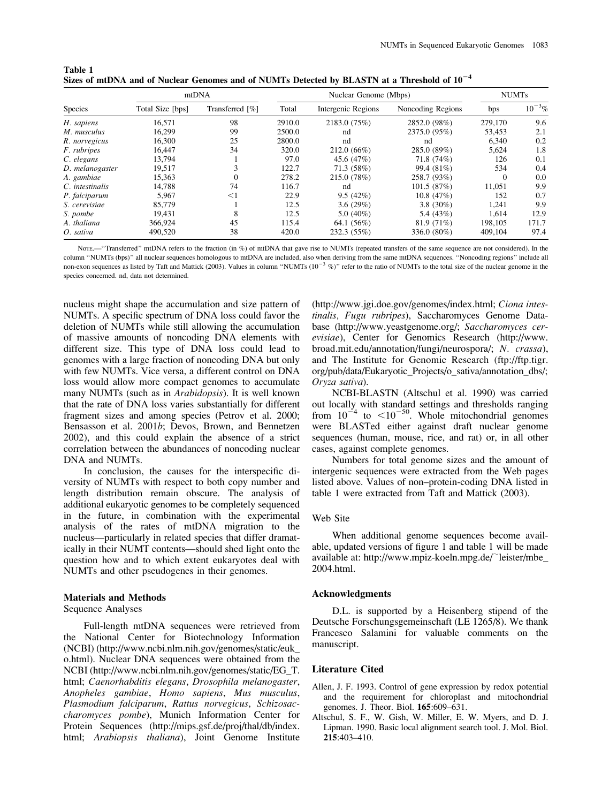| Table 1 |                                                                                                   |  |
|---------|---------------------------------------------------------------------------------------------------|--|
|         | Sizes of mtDNA and of Nuclear Genomes and of NUMTs Detected by BLASTN at a Threshold of $10^{-4}$ |  |

| <b>Species</b>     | mtDNA            |                 | Nuclear Genome (Mbps) |                    |                   | <b>NUMTs</b> |             |
|--------------------|------------------|-----------------|-----------------------|--------------------|-------------------|--------------|-------------|
|                    | Total Size [bps] | Transferred [%] | Total                 | Intergenic Regions | Noncoding Regions | bps          | $10^{-3}\%$ |
| H. sapiens         | 16.571           | 98              | 2910.0                | 2183.0 (75%)       | 2852.0 (98%)      | 279,170      | 9.6         |
| M. musculus        | 16.299           | 99              | 2500.0                | nd                 | 2375.0 (95%)      | 53.453       | 2.1         |
| R. norvegicus      | 16.300           | 25              | 2800.0                | nd                 | nd                | 6.340        | 0.2         |
| <i>F. rubripes</i> | 16.447           | 34              | 320.0                 | $212.0(66\%)$      | 285.0 (89%)       | 5,624        | 1.8         |
| C. elegans         | 13,794           |                 | 97.0                  | 45.6 $(47%)$       | 71.8 (74%)        | 126          | 0.1         |
| D. melanogaster    | 19,517           |                 | 122.7                 | 71.3(58%)          | 99.4 (81%)        | 534          | 0.4         |
| A. gambiae         | 15.363           | $\Omega$        | 278.2                 | 215.0 (78%)        | 258.7 (93%)       | $\Omega$     | 0.0         |
| C. intestinalis    | 14.788           | 74              | 116.7                 | nd                 | 101.5(87%)        | 11,051       | 9.9         |
| P. falciparum      | 5.967            | $<$ 1           | 22.9                  | 9.5(42%)           | 10.8(47%)         | 152          | 0.7         |
| S. cerevisiae      | 85,779           |                 | 12.5                  | 3.6(29%)           | 3.8 $(30\%)$      | 1,241        | 9.9         |
| S. pombe           | 19.431           | 8               | 12.5                  | $5.0(40\%)$        | 5.4(43%)          | 1.614        | 12.9        |
| A. thaliana        | 366,924          | 45              | 115.4                 | 64.1 (56%)         | $81.9(71\%)$      | 198.105      | 171.7       |
| O. sativa          | 490,520          | 38              | 420.0                 | 232.3(55%)         | 336.0 (80%)       | 409.104      | 97.4        |

NoTE.—"Transferred" mtDNA refers to the fraction (in %) of mtDNA that gave rise to NUMTs (repeated transfers of the same sequence are not considered). In the column ''NUMTs (bps)'' all nuclear sequences homologous to mtDNA are included, also when deriving from the same mtDNA sequences. ''Noncoding regions'' include all non-exon sequences as listed by Taft and Mattick (2003). Values in column "NUMTs  $(10^{-3} %)$ " refer to the ratio of NUMTs to the total size of the nuclear genome in the species concerned. nd, data not determined.

nucleus might shape the accumulation and size pattern of NUMTs. A specific spectrum of DNA loss could favor the deletion of NUMTs while still allowing the accumulation of massive amounts of noncoding DNA elements with different size. This type of DNA loss could lead to genomes with a large fraction of noncoding DNA but only with few NUMTs. Vice versa, a different control on DNA loss would allow more compact genomes to accumulate many NUMTs (such as in *Arabidopsis*). It is well known that the rate of DNA loss varies substantially for different fragment sizes and among species (Petrov et al. 2000; Bensasson et al. 2001b; Devos, Brown, and Bennetzen 2002), and this could explain the absence of a strict correlation between the abundances of noncoding nuclear DNA and NUMTs.

In conclusion, the causes for the interspecific diversity of NUMTs with respect to both copy number and length distribution remain obscure. The analysis of additional eukaryotic genomes to be completely sequenced in the future, in combination with the experimental analysis of the rates of mtDNA migration to the nucleus—particularly in related species that differ dramatically in their NUMT contents—should shed light onto the question how and to which extent eukaryotes deal with NUMTs and other pseudogenes in their genomes.

#### Materials and Methods

Sequence Analyses

Full-length mtDNA sequences were retrieved from the National Center for Biotechnology Information (NCBI) (http://www.ncbi.nlm.nih.gov/genomes/static/euk\_ o.html). Nuclear DNA sequences were obtained from the NCBI (http://www.ncbi.nlm.nih.gov/genomes/static/EG\_T. html; Caenorhabditis elegans, Drosophila melanogaster, Anopheles gambiae, Homo sapiens, Mus musculus, Plasmodium falciparum, Rattus norvegicus, Schizosaccharomyces pombe), Munich Information Center for Protein Sequences (http://mips.gsf.de/proj/thal/db/index. html; Arabiopsis thaliana), Joint Genome Institute

(http://www.jgi.doe.gov/genomes/index.html; Ciona intestinalis, Fugu rubripes), Saccharomyces Genome Database (http://www.yeastgenome.org/; Saccharomyces cerevisiae), Center for Genomics Research (http://www. broad.mit.edu/annotation/fungi/neurospora/; N. crassa), and The Institute for Genomic Research (ftp://ftp.tigr. org/pub/data/Eukaryotic\_Projects/o\_sativa/annotation\_dbs/; Oryza sativa).

NCBI-BLASTN (Altschul et al. 1990) was carried out locally with standard settings and thresholds ranging from  $10^{-4}$  to  $\leq 10^{-50}$ . Whole mitochondrial genomes were BLASTed either against draft nuclear genome sequences (human, mouse, rice, and rat) or, in all other cases, against complete genomes.

Numbers for total genome sizes and the amount of intergenic sequences were extracted from the Web pages listed above. Values of non–protein-coding DNA listed in table 1 were extracted from Taft and Mattick (2003).

#### Web Site

When additional genome sequences become available, updated versions of figure 1 and table 1 will be made available at: http://www.mpiz-koeln.mpg.de/~leister/mbe\_ 2004.html.

#### Acknowledgments

D.L. is supported by a Heisenberg stipend of the Deutsche Forschungsgemeinschaft (LE 1265/8). We thank Francesco Salamini for valuable comments on the manuscript.

### Literature Cited

- Allen, J. F. 1993. Control of gene expression by redox potential and the requirement for chloroplast and mitochondrial genomes. J. Theor. Biol. 165:609–631.
- Altschul, S. F., W. Gish, W. Miller, E. W. Myers, and D. J. Lipman. 1990. Basic local alignment search tool. J. Mol. Biol. 215:403–410.